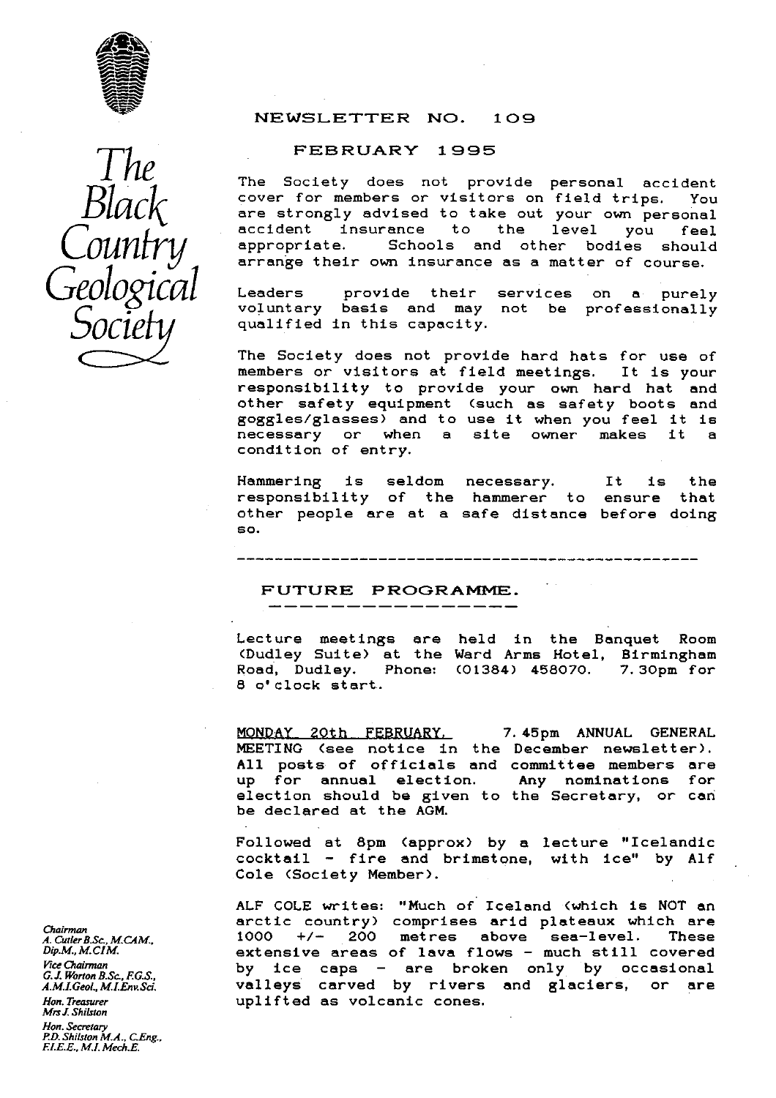



### NEWSLETTER NO. 109

### FEBRUARY 1995

The Society does not provide personal accident<br>cover for members or visitors on field trips. You cover for members or visitors on field trips. are strongly advised to take out your own personal accident insurance to the level you feel<br>appropriate. Schools and other bodies should Schools and other bodies should arrange their own insurance as a matter of course.

Leaders provide their services on a purely voluntary basis and may not be professionally qualified in this capacity.

The Society does not provide hard hats for use of members or visitors at field meetings. It is your responsibility to provide your own hard hat and other safety equipment (such as safety boots and goggles/glasses) and to use it when you feel it is<br>necessary or when a site owner makes it a necessary or when a site owner condition of entry.

Hammering is seldom necessary. It is the responsibility of the hammerer to ensure that other people are at a safe distance before doing so.

### FUTURE PROGRAMME.

Lecture meetings are held in the Banquet Room (Dudley Suite) at the Ward Arms Hotel, Birmingham Phone: (01384) 458070. 8 o'clock start.

MONDAY 20th FEBRUARY. 7.45pm ANNUAL GENERAL MEETING (see notice in the December newsletter). All posts of officials and committee members are<br>up for annual election. Any nominations for up for annual election. election should be given to the Secretary, or can be declared at the AGM.

Followed at 8pm (approx) by a lecture "Icelandic  $\texttt{cocktail}$  -- fire and brimstone, with ice" by Alf Cole (Society Member).

ALF COLE writes: "Much of Iceland (which is NOT an arctic country) comprises arid plateaux which are 1000 +/- 200 metres above sea-level. These extensive areas of lava flows - much still covered by ice caps - are broken only by occasional valleys carved by rivers and glaciers, or are uplifted as volcanic cones.

*Chairman A. CutlerB.Sc., M.CAM., Dip.M., M.CIM. Vi*ce *Chairman G.J. Worton B.Sc., F.G.S., A.M.LGeol., M.LEneSd. Hon. Treasurer*

*Mrs J. ShiLston Hon. Secretary P.D. Shilsion M.A., C.Eng., F.I.E.E., MI. Mech.E.*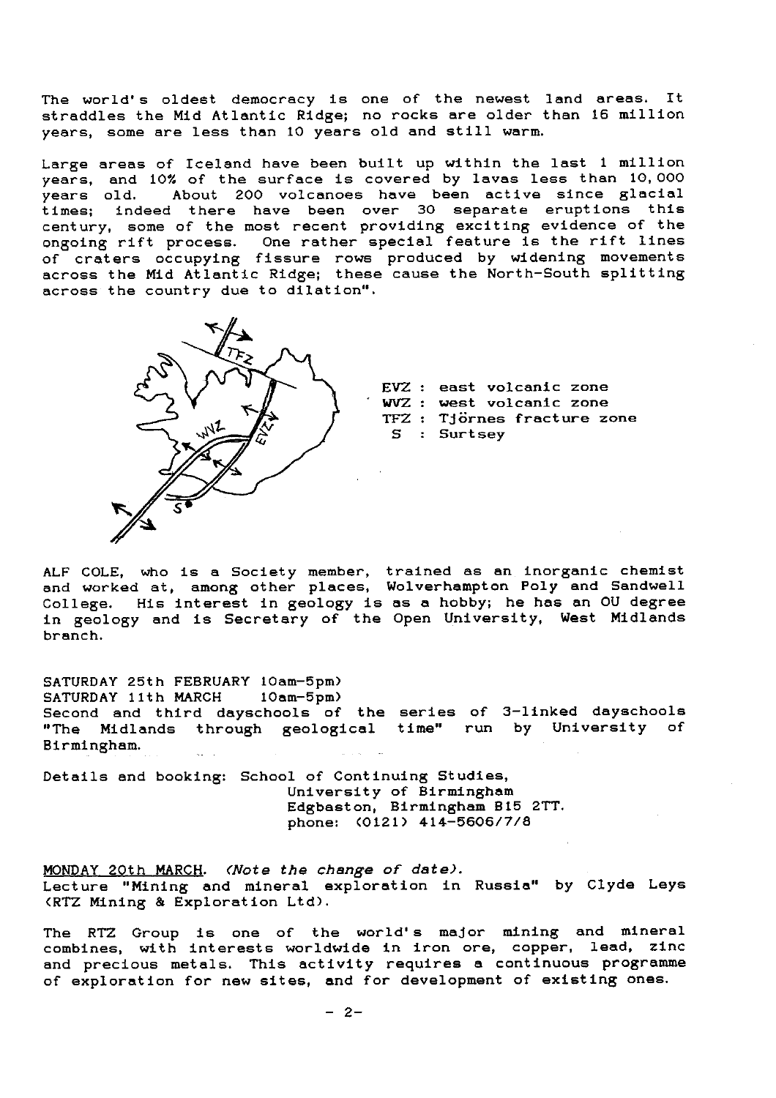The world's oldest democracy is one of the newest land areas. It straddles the Mid Atlantic Ridge; no rocks are older than 16 million years, some are less than 10 years old and still warm.

Large areas of Iceland have been built up within the last 1 million years, and 10% of the surface is covered by lavas less than 10, 000 years old. About 200 volcanoes have been active since glacial times; indeed there have been over 30 separate eruptions this century, some of the most recent providing exciting evidence of the ongoing rift process. One rather special feature is the rift lines of craters occupying fissure rows produced by widening movements across the Mid Atlantic Ridge; these cause the North-South splitting across the country due to dilation".



EVZ : east **volcanic zone WVZ : west volcanic zone** TFZ : **Tjornes fracture zone S : Surtsey**

ALF COLE, who is **a** Society member, trained as an inorganic chemist and worked at, among other places, Wolverhampton Poly and Sandwell College. His interest in geology is as a hobby; he has an CU degree in geology and is Secretary of the Open University, West Midlands branch.

SATURDAY 25th FEBRUARY 10am-5pm)<br>SATURDAY 11th MARCH 10am-5pm) SATURDAY 11th MARCH Second and third dayschools of the **series** of 3-linked dayschools Midlands through geological time" run by University of Birmingham.

Details and booking: School of Continuing Studies, University of Birmingham Edgbaston, Birmingham 815 2TT. phone: (0121) 414-5606/7/8

**MONDAY 20th MARCH.** *(Note the change of date).* Lecture "Mining and mineral exploration in Russia" by Clyde Lays (RTZ Mining & Exploration Ltd).

The RTZ Group is one of the world's major mining and mineral combines, with interests worldwide in iron ore, copper, lead, zinc and precious metals. This activity requires a continuous programme of exploration for new sites, and for development of **existing ones.**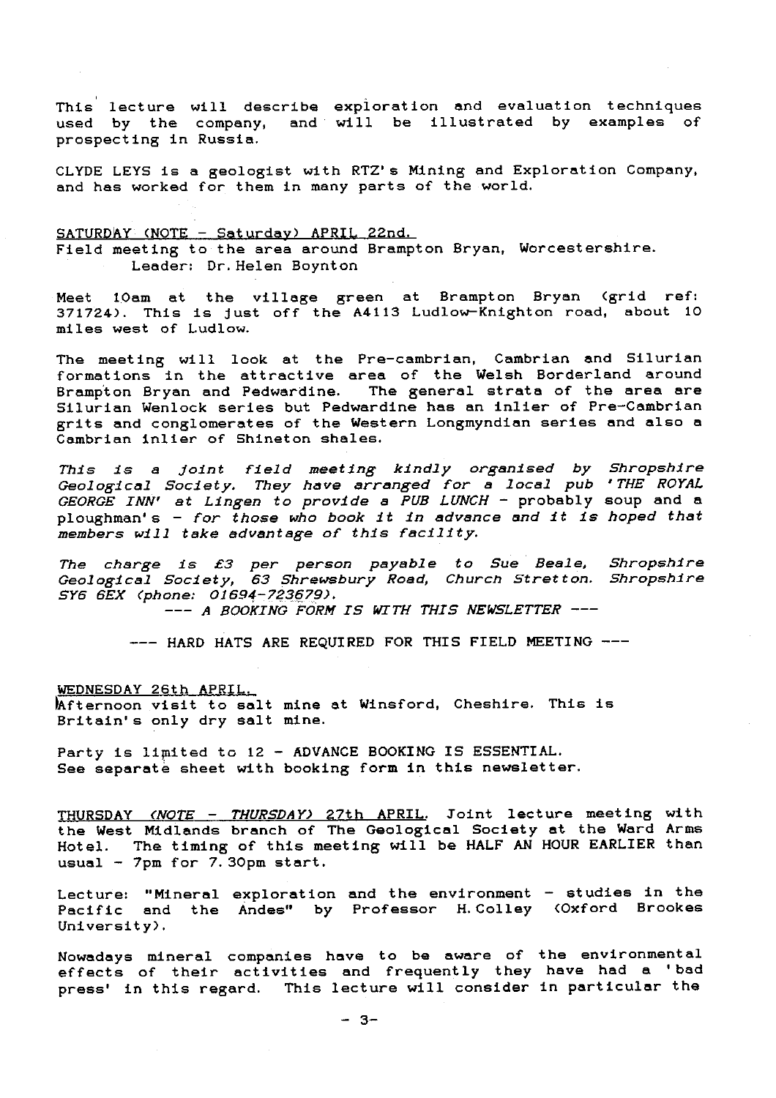This lecture will describe exploration and evaluation techniques used by the company, and will be illustrated by examples of prospecting in Russia.

CLYDE LEYS is a geologist with RTZ's Mining and Exploration Company, and has worked for them in many parts of the world.

SATURDAY (NOTE - Saturday) APRIL 22nd. Field meeting to the area around Brampton Bryan, Worcestershire. Leader: Dr. Helen Boynton

Meet 1Oam at the village green at Brampton Bryan (grid ref: 371724). This is just off the A4113 Ludlow-Knighton road, about 10 miles west of Ludlow.

The meeting will look at the Pre-cambrian, Cambrian and Silurian formations in the attractive area of the Welsh Borderland around Brampton Bryan and Pedwardine. The general strata of the area are Silurian Wenlock series but Pedwardine has an inlier of Pre-Cambrian grits and conglomerates of the Western Longmyndian series and also a Cambrian inlier of Shineton shales.

This **is** <sup>a</sup> Joint *field meeting kindly organised by Shropshire Geological Society. They have arranged for a local pub ' THE ROYAL* GEORGE *INN' at Lingen to provide a PUB LUNCH -* probably soup and a ploughman's - *for those who book It in advance and it is hoped that members will take advantage of this facility.*

*The charge is £3 per person payable to Sue Beale, Shropshire Geological Society, 63 Shrewsbury Road, Church Stretton. Shropshire SY6 6EX (phone: 01694-723679).* 

*--- A BOOKING FORM IS WITH THIS NEWSLETTER ---*

*---* HARD HATS ARE REQUIRED FOR THIS FIELD MEETING

WEDNESDAY 26th APRIL.

lAfternoon visit to salt mine at Winsford, Cheshire. This is Britain's only dry salt mine.

Party is limited to 12 - ADVANCE BOOKING IS ESSENTIAL. See separate sheet with booking form in this newsletter.

THURSDAY (NOTE - *THURSDAY)* 27th APRIL. Soint lecture meeting with the West Midlands branch of The Geological Society at the Ward Arms Hotel. The timing of this meeting will be HALF AN HOUR EARLIER than usual  $-$  7pm for 7.30pm start.

Lecture: "Mineral exploration and the environment - studies in the Pacific and the Andes" by Professor H. Colley (Oxford Brookes University).

Nowadays mineral companies have to be aware of the environmental effects of their activities and frequently they have had a 'bad press' in this regard. This lecture will consider in particular the

 $- 3 -$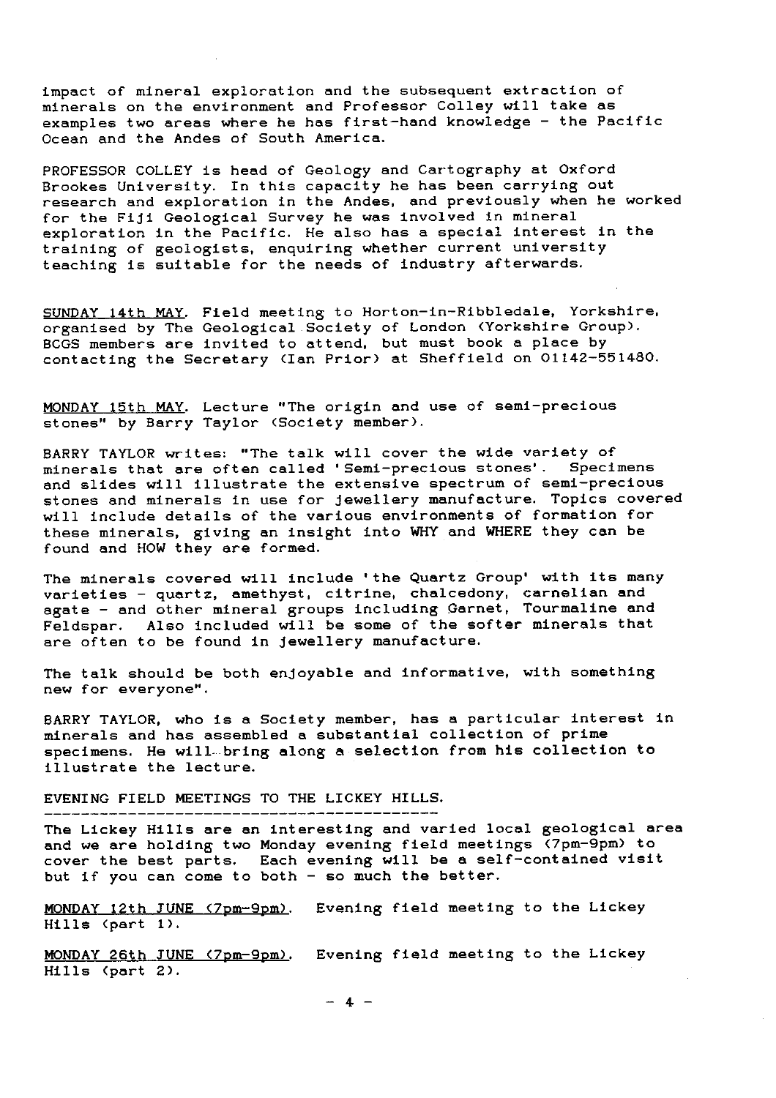impact of mineral exploration and the subsequent extraction of minerals on the environment and Professor Colley will take as examples two areas where he has first-hand knowledge - the Pacific Ocean and the Andes of South America.

PROFESSOR COLLEY is head of Geology and Cartography at Oxford Brookes University. In this capacity he has been carrying out research and exploration in the Andes, and previously when he worked for the Fiji Geological Survey he was involved in mineral exploration in the Pacific. He also has a special interest in the training of geologists, enquiring whether current university teaching is suitable for the needs of industry afterwards.

SUNDAY 14th MAY. Field meeting to Horton-in-Ribbledale, Yorkshire, organised by The Geological *Society* of London (Yorkshire Group). BCGS members are invited to attend, but must book a place by contacting the Secretary (Ian Prior) at Sheffield on 01142-551480.

MONDAY 15th MAY. Lecture "The origin and use of semi-precious stones" by Barry Taylor (Society member).

BARRY TAYLOR writes: "The talk will cover the wide variety of minerals that are often called 'Semi-precious stones'. Specimens and slides will illustrate the extensive spectrum of *semi-*precious stones and minerals in use for Jewellery manufacture. Topics covered will include details of the various environments of formation for these minerals, giving an insight into WHY and WHERE they can be found and HOW they are formed.

The minerals covered will include 'the Quartz Group' with **its many** varieties – quartz, amethyst, citrine, chalcedony, carnelian and agate - and other mineral groups including Garnet, Tourmaline and Feldspar. Also included will be some of the softer minerals that are often **to be found in jewellery manufacture.**

The talk should be both enjoyable and informative, with something new for everyone".

BARRY TAYLOR, who is a Society member, has a particular interest in minerals and has assembled a substantial collection of prime specimens. He will-bring along a selection from his collection to illustrate the lecture.

EVENING FIELD MEETINGS TO THE LICKEY HILLS.

The Lickey Hills are an interesting and varied local geological area and we are holding two Monday evening field meetings (7pm-9pm) to cover the best parts. Each evening will be a self-contained visit but if you can come to both - so much the better.

MONDAY 12th JUNE (7pm-9pm). Evening field meeting to the Lickey Hills (part 1).

MONDAY 26th JUNE (7pm-9pm). Evening field meeting to the Lickey Hills (part 2).

 $- 4 -$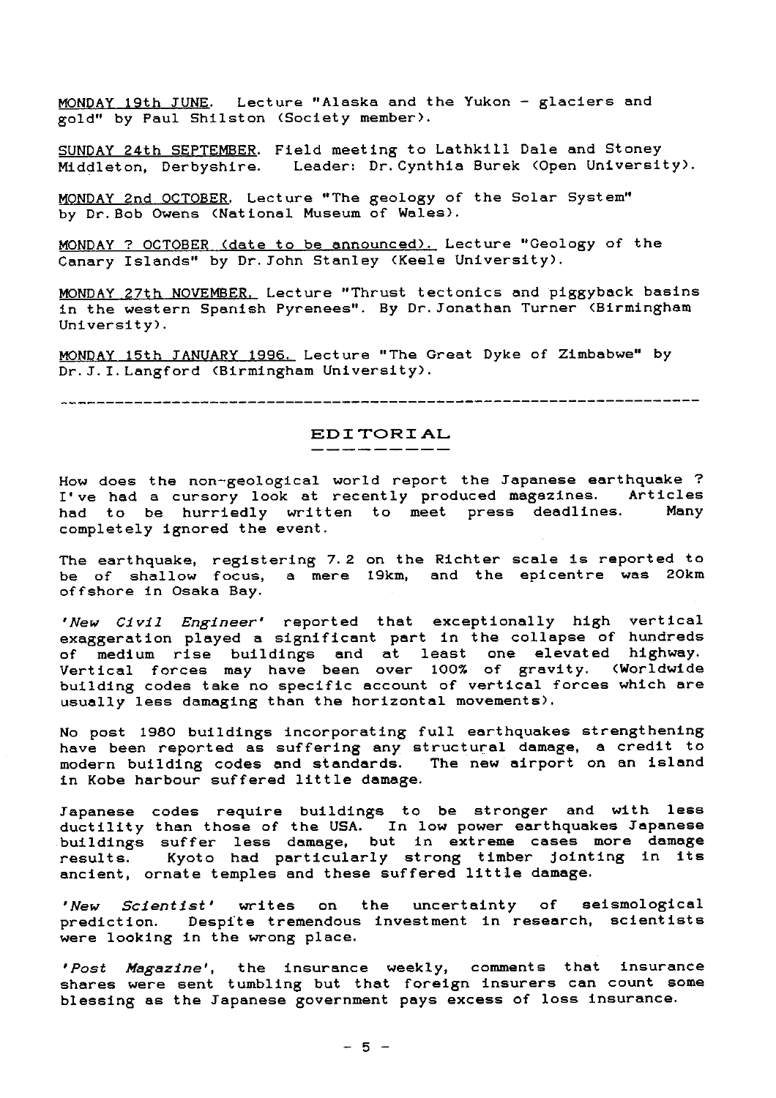MONDAY 19th JUNE. Lecture "Alaska and the Yukon - glaciers and gold" by Paul Shilston (Society member).

SUNDAY 24th SEPTEMBER . Field meeting to Lathkill Dale and Stoney Middleton, Derbyshire. Leader: Dr. Cynthia Burek (Open University).

MONDAY 2nd OCTOBER. Lecture "The geology of the Solar System" by Dr. Bob Owens (National Museum of Wales).

MONDAY ? OCTOBER (date to be announced). Lecture "Geology of the Canary Islands" by Dr. John Stanley (Keele University).

MONDAY 27th NOVEMBER. Lecture "Thrust tectonics and piggyback basins in the western Spanish Pyrenees". By Dr. Jonathan Turner (Birmingham University).

MONDAY 15th JANUARY1996. Lecture "The Great Dyke of Zimbabwe" by Dr. J. I. Langford (Birmingham University).

# **EDITORIAL**

How does the non-geological world report the Japanese earthquake ? I've had a cursory look at recently produced magazines. Articles<br>had to be burriedly written to meet press deadlines. Many had to be hurriedly written to meet press deadlines. completely ignored the event.

The earthquake, registering 7.2 on the Richter scale is reported to be of shallow focus, a mere 19km, and the epicentre was 20km offshore in Osaka Bay.

*' New Civil Engineer'* reported that exceptionally high vertical exaggeration played a significant part in the collapse of hundreds of medium rise buildings and at least one elevated highway. Vertical forces may have been over 100% of gravity. (Worldwide building codes take no specific account of vertical forces which are usually less damaging than the horizontal movements).

No post 1980 buildings incorporating full earthquakes strengthening have been reported as suffering any structural damage, a credit to modern building codes and standards. The new airport on an island in Kobe harbour suffered little damage.

Japanese codes require buildings to be stronger and with less ductility than those of the USA. In low power earthquakes Japanes buildings suffer less damage, but in extreme cases more damage results. Kyoto had particularly strong timber jointing in its ancient, ornate temples and these suffered little damage.

*'New Scientist'* writes on the uncertainty of seismological prediction. Despite tremendous investment in research, scientists were looking in the wrong place.

*'Post Magazine',* the insurance weekly, comments that insurance shares were sent tumbling but that foreign insurers can count some blessing as the Japanese government pays excess of loss insurance.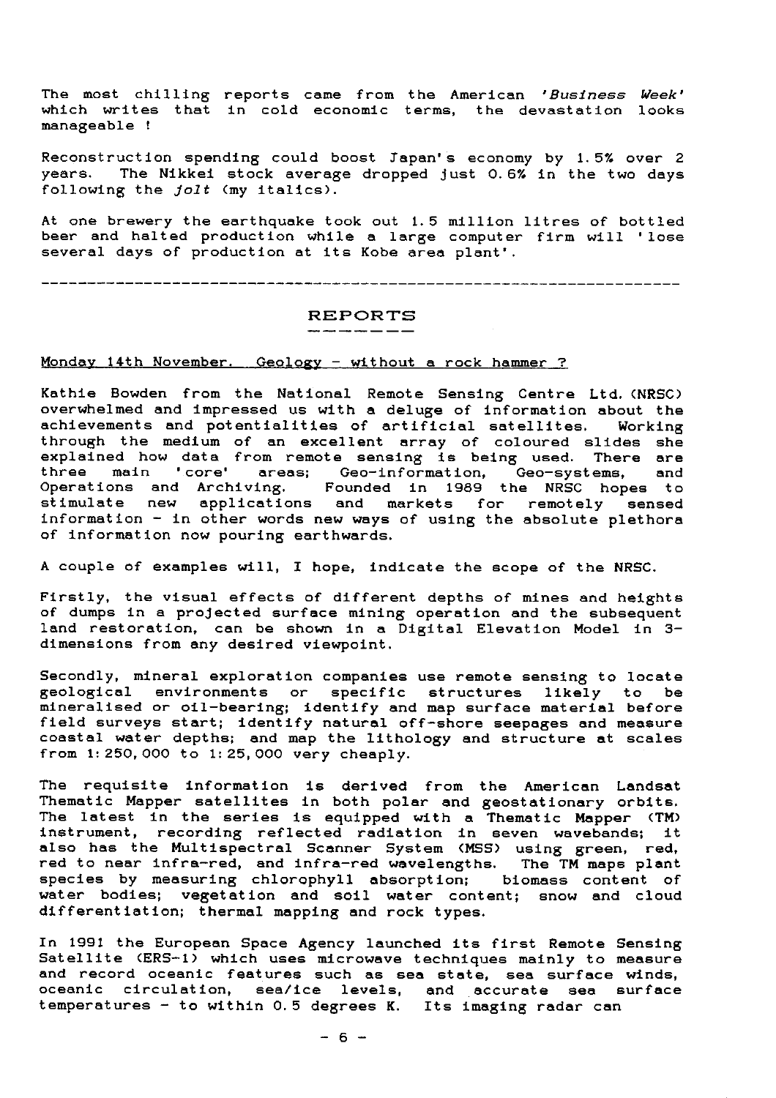The most chilling reports came from the American ' Business *Week'* which writes that in cold economic terms, the devastation looks manageable !

Reconstruction spending could boost Japan's economy by 1.5% over 2 years. The Nikkei stock average dropped Just 0.6% in the two days following the Jolt (my italics).

At one brewery the earthquake took out 1.5 million litres of bottled beer and halted production while a large computer firm will 'lose several days of production at its Kobe area plant'.

# $REPORTS$ <br> $------$

### Monday 14th November. Geology - without a rock hammer ?

Kathie Bowden from the National Remote Sensing Centre Ltd. (NRSC) overwhelmed and impressed us with a deluge of information about the  $\mathbf{h}_{\mathbf{0}}$ achievements and potentialities of artificial satellites. Working through the medium of an excellent array of coloured slides she explained how data from remote sensing is being used. There are three main 'core' areas; Geo-information, Geo-systems, and Operations and Archiving. Founded in 1989 the NRSC hopes to stimulate new applications and markets for remotely sensed information - in other words new ways of using the absolute plethora of information now pouring earthwards.

A couple of examples will, I hope, indicate the scope of the NRSC.

Firstly, the visual effects of different depths of mines and heights of dumps in a projected surface mining operation and the subsequent land restoration, can be shown in a Digital Elevation Model in 3 dimensions from any desired viewpoint.

Secondly, mineral exploration companies use remote sensing to locate geological environments or specific structures likely to be mineralised or oil-bearing; identify and map surface material before field surveys start; identify natural off-shore seepages and measure coastal water depths; and map the lithology and structure at scales from 1: 250, 000 to 1: 25, 000 very cheaply.

The requisite information is derived from the American Landsa Thematic Mapper satellites in both polar and geostationary orbits. The latest in the series is equipped with a Thematic Mapper (TM) instrument, recording reflected radiation in seven wavebands; it also has the Multispectral Scanner System (MSS) using green, red red to near infra-red, and infra-red wavelengths. The TM maps plant species by measuring chlorophyll absorption; biomass content of water bodies; vegetation and soil water content; snow and cloud differentiation; thermal mapping and rock types.

In 1991 the European Space Agency launched its first Remote Sensing Satellite (ERS-1) which uses microwave techniques mainly to measure and record oceanic features such as sea state, sea surface winds, oceanic circulation, sea/ice levels, and accurate sea surface temperatures - to within 0.5 degrees K. Its imaging radar can

 $- 6 -$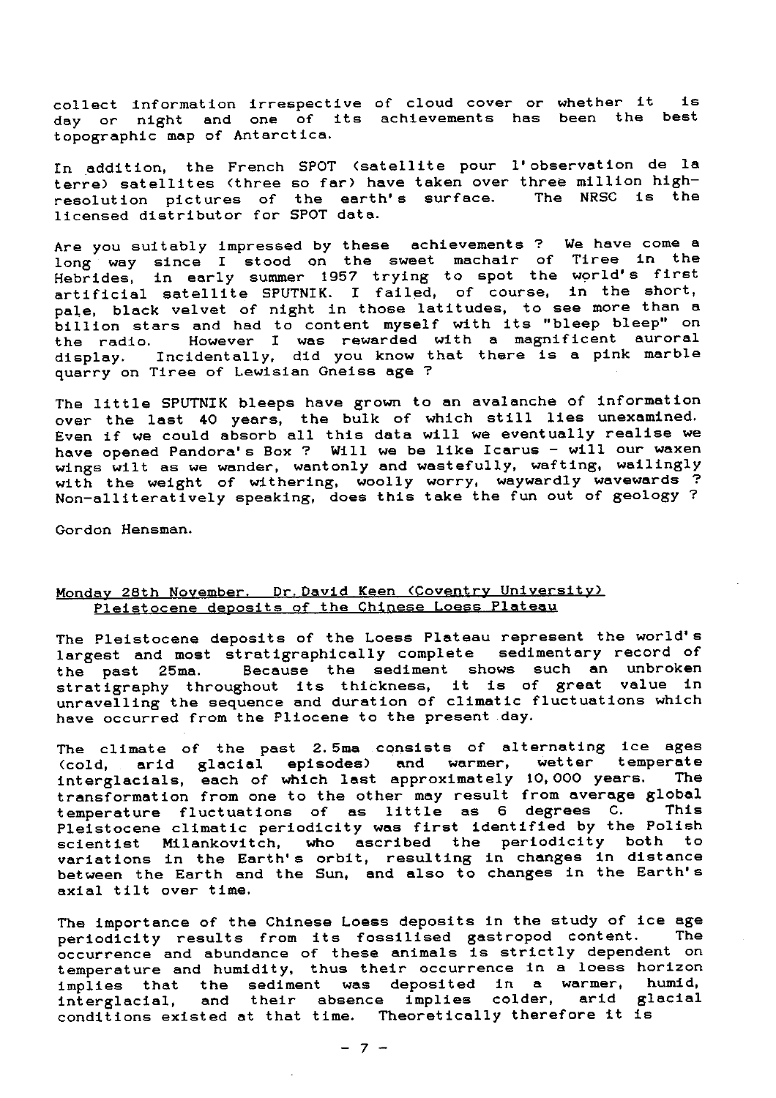collect information irrespective of cloud cover or whether it is day or night and one of its achievements has been the best topographic map of Antarctica.

In addition, the French SPOT (satellite pour l'observation de la terre) satellites (three so far) have taken over three million high-<br>resolution pictures of the earth's surface. The NRSC is the resolution pictures of the earth's surface. licensed distributor for SPOT data.

Are you suitably impressed by these achievements ? We have come a long way since I stood on the sweet machair of Tiree in the Hebrides, in early summer 1957 trying to spot the world's firs artificial satellite SPUTNIK. I failed, of course, in the short, pale, black velvet of night in those latitudes, to see more than a billion stars and had to content myself with its "bleep bleep" on the radio. However I was rewarded with a magnificent auroral display. Incidentally, did you know that there is a pink marble quarry on Tiree of Lewisian Gneiss age ?

The little SPUTNIK bleeps have grown to an avalanche of information over the last 40 years, the bulk of which still lies unexamined. Even if we could absorb all this data will we eventually realise we have opened Pandora's Box ? Will we be like Icarus - will our waxen wings wilt as we wander, wantonly *and* wastefully, wafting, wailingly with the weight of withering, woolly worry, waywardly wavewards ? Non-alliteratively speaking, does this take the fun out of geology ?

Gordon Hensman.

### Monday 28th November. Dr.David Keen (Coventry University) Pleistocene deposits of the Chinese Loess Plateau

The Pleistocene deposits of the Loess Plateau represent the world's largest and most stratigraphically complete sedimentary record of the past 25ma. Because the sediment shows such an unbroken stratigraphy throughout its thickness, it is of great value in unravelling the sequence and duration of climatic fluctuations which have occurred from the Pliocene to the present day.

The climate of the past 2.5ma consists of alternating ice ages (cold, arid glacial episodes) and warmer, wetter temperate interglacials, each of which last approximately 10,000 years. The transformation from one to the other may result from average global<br>temperature fluctuations of as little as 6 degrees C. This temperature fluctuations of as little as 6 degrees C. Pleistocene climatic periodicity was first identified by the Polish scientist Milankovitch, who ascribed the periodicity both to variations in the Earth's orbit, resulting in changes in distance between the Earth and the Sun, and also to changes in the Earth's axial tilt over time.

The importance of the Chinese Loess deposits in the study of ice age The importance of the Uninese Loess deposits in the study of ite age<br>periodicity results from its fossilised gastropod content. The occurrence and abundance of these animals is strictly dependent on temperature and humidity, thus their occurrence in a loess horizon implies that the sediment was deposited in a warmer, humid,<br>interglacial, and their absence implies colder, arid glacial conditions existed at that time. Theoretically therefore it is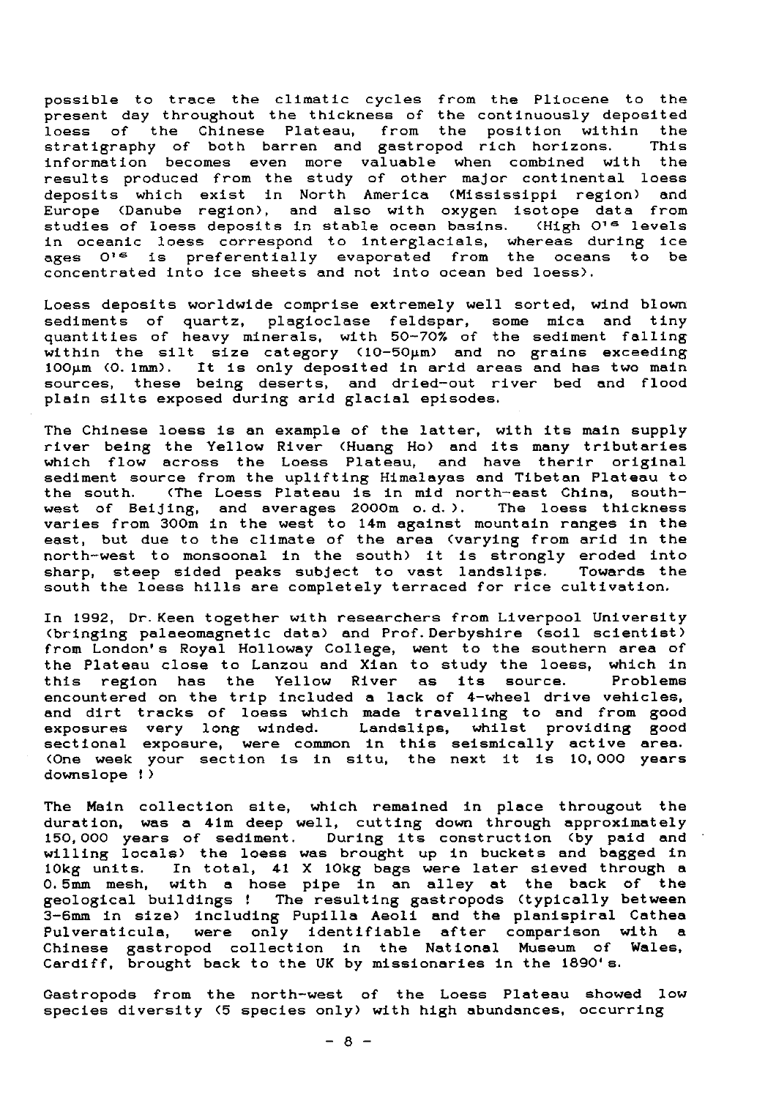possible to trace the climatic cycles from the Pliocene to the present day throughout the thickness of the continuously deposited loess of the Chinese Plateau, from the position within the stratigraphy of both barren and gastropod rich horizons. This information becomes even more valuable when combined with the results produced from the study of other major continental loess deposits which exist in North America (Mississippi region) and Europe (Danube region), and also with oxygen isotope data from studies of loess deposits in stable ocean basins. (High O's levels in oceanic loess correspond to interglacials, whereas during ice ages O'<sup>s</sup> is preferentially evaporated from the oceans to be concentrated into Ice sheets and not into ocean bed loess).

Loess deposits worldwide comprise extremely well sorted, wind blown sediments of quartz, plagioclase feldspar, some mica and tin<sub>)</sub> quantities of heavy minerals, with 50-70% of the sediment falling within the silt size category (10-50µm) and no grains exceeding<br>100µm (0.1mm). It is only deposited in arid areas and has two main sources, these being deserts, and dried-out river bed and flood plain silts exposed during arid glacial episodes.

The Chinese loess is an example of the latter, with its main supply river being the Yellow River (Huang Ho) and its many tributaries which flow across the Loess Plateau, and have therir original sediment source from the uplifting Himalayas and Tibetan Plateau to<br>the south. (The Loess Plateau is in mid north-east China, south-(The Loess Plateau is in mid north-east China, south-<br>ijing, and averages 2000m o.d.). The loess thickness west of Beijing, and averages  $2000$ m o.d.). varies from 300m in the west to 14m against mountain ranges in the east, but due to the climate of the area (varying from arid in the north-west to monsoonal in the south) it is strongly eroded into sharp, steep sided peaks subject to vast landslips. Towards the south the loess hills are completely terraced for rice cultivation.

In 1992, Dr. Keen together with researchers from Liverpool University (bringing palaeomagnetic data) and Prof.Derbyshire (soil scientist) from London's Royal Holloway College, went to the southern area of the Plateau close to Lanzou and Xian to study the loess, which in this region has the Yellow River as its source. Problems encountered on the trip included a lack of 4-wheel drive vehicles, and dirt tracks of loess which made travelling to and from good exposures very long winded. *Landslips,* whilst providing good sectional exposure, were common in this seismically active area. (One week your section is in situ, the next it is 10,000 years downslope !)

The Main collection site, which remained in place througout the duration, was a 41m deep well, cutting down through approximately 150,000 years of sediment. During its construction (by paid and willing locals) the loess was brought up in buckets and bagged in 10kg units. In total, **41 X** 10kg bags were later sieved through a lokg units. In total, 41 x lokg bags were later sieved through a<br>0.5mm mesh, with a hose pipe in an alley at the back of the geological buildings ! The resulting gastropods (typically between 3-6mm in size) including Pupilla Aeoli and the planispiral Cathea Pulveraticula, *were only* identifiable after comparison with a Chinese gastropod collection in the National Museum of Wales, Cardiff, brought back to the UK by missionaries in the 1890's.

Gastropods from the north-west of the Loess Plateau showed low species diversity (5 species only) with high abundances, occurring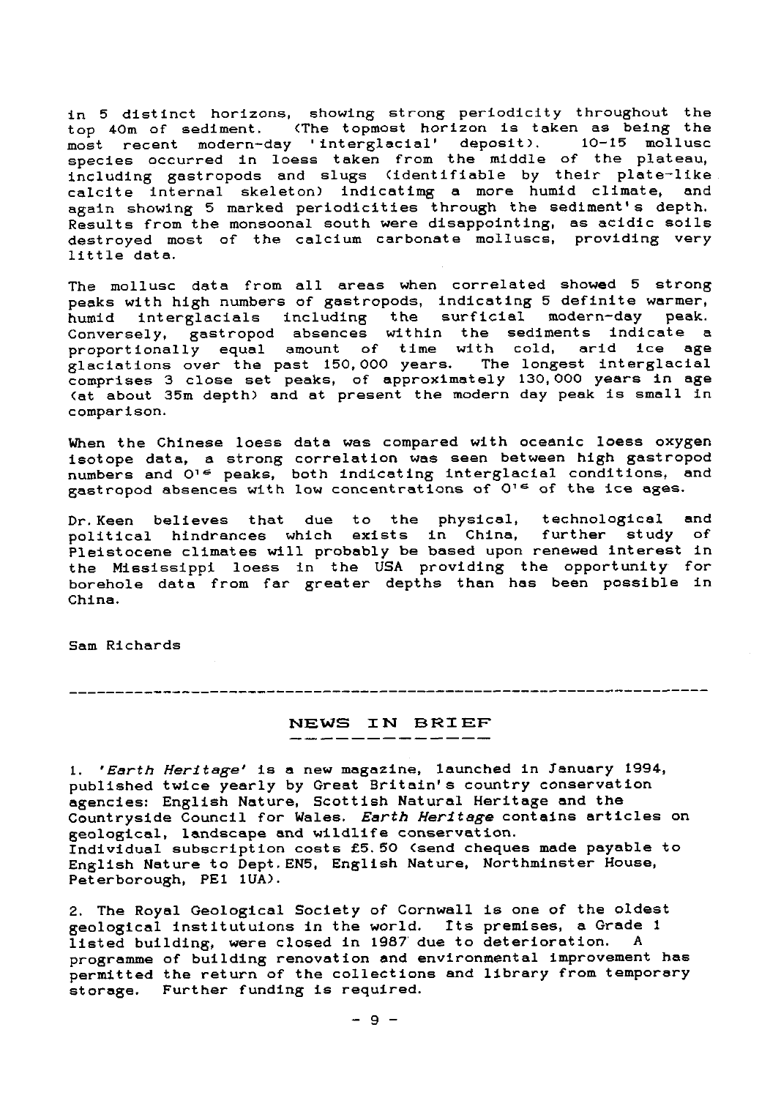in 5 distinct horizons, showing strong periodicity throughout the top 40m of sediment. (The topmost horizon is taken as being the most recent modern-day 'interglacial' deposit). 10-15 mollusc species occurred in loess taken from the middle of the plateau, including gastropods and slugs (identifiable by their plate-like calcite internal skeleton) indicating a more humid climate, and again showing 5 marked periodicities through the sediment's depth. Results from the monsoonal south were disappointing, as acidic soils destroyed most of the calcium carbonate molluscs, providing very little data.

The mollusc data from all areas when correlated showed 5 strong peaks with high numbers of gastropods, indicating 5 definite warmer, humid interglacials including the surficial modern-day peak. Conversely, gastropod absences within the sediments indicate a proportionally equal amount of time with cold, arid ice age glaciations over the past 150,000 years. The longest interglacial comprises 3 close set peaks, of approximately 130,000 years in age (at about 35m depth) and at present the modern day peak is small in comparison.

When the Chinese loess data was compared with oceanic loess oxygen isotope data, a strong correlation was seen between high gastropod numbers and O<sup>16</sup> peaks, both indicating interglacial conditions, and gastropod absences with low concentrations of  $O^{16}$  of the ice ages.

Dr.Keen believes that due to the physical, technological and political hindrances which **exists** in China, further study of Pleistocene climates will probably be based upon renewed interest in the Mississippi loess in the USA providing the opportunity for borehole data from far greater depths than has been possible in China.

Sam Richards

## **NEWS IN BRIEF**

*1. 'Earth Heritage' is a* new magazine, launched in January 1994, published twice yearly by Great Britain's country conservation agencies: English Nature, Scottish Natural Heritage and the Countryside Council for Wales. *Earth Heritage* contains articles on geological, landscape and wildlife conservation. Individual subscription costs £5.50 (send cheques made payable to English Nature to Dept. EN5, English Nature, Northminster House, Peterborough, PE1 1UA).

2. The Royal Geological Society of Cornwall is one of the oldest geological institutuions in the world. Its premises, a Grade 1 listed building, were closed in 1987 due to deterioration. A programme of building renovation and environmental improvement has .<br>permitted the return of the collections and library from temporary storage. Further funding is required.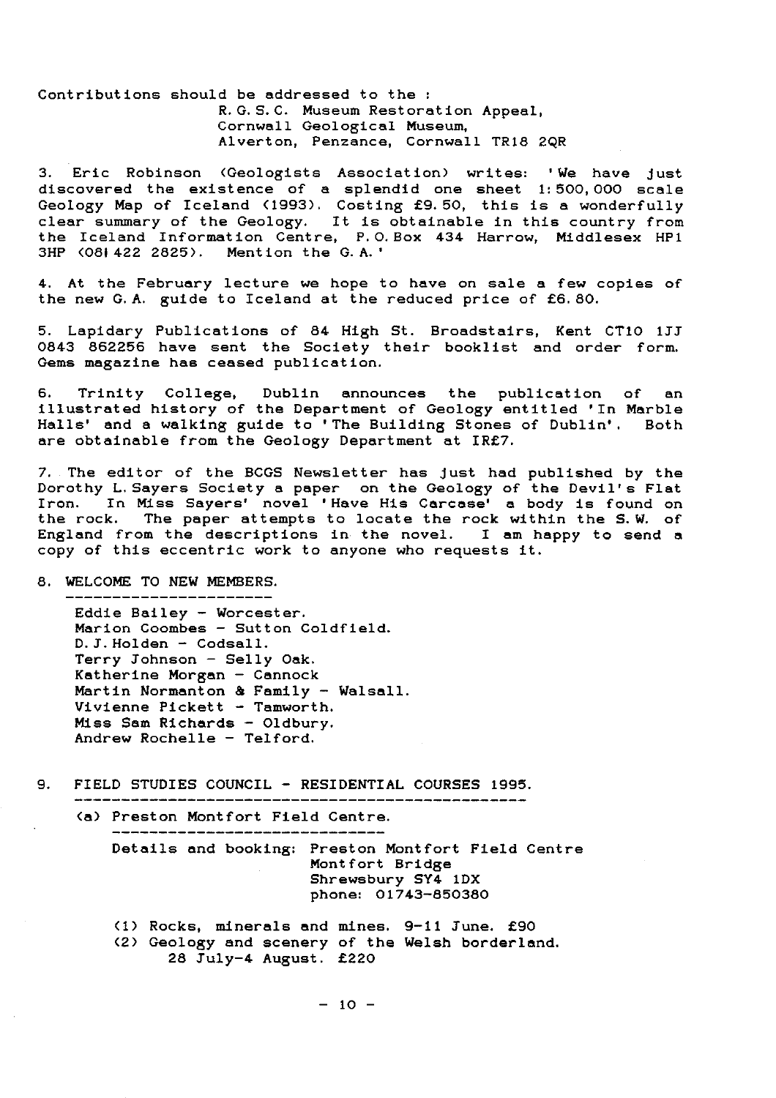Contributions should be addressed to the : R. G. S. C. Museum Restoration Appeal, Cornwall Geological Museum, Alverton, Penzance, Cornwall TR18 2QR

3. Eric Robinson (Geologists Association) writes: ' We have just discovered the existence of a splendid one sheet 1: 500, 000 scale Geology Map of Iceland (1993). Costing £9.50, this is a wonderfully clear summary of the Geology. It is obtainable in this country from the Iceland Information Centre, P. O. Box 434 Harrow, Middlesex HP1 3HP (08i422 2825) . Mention the G.A.'

4. At the February lecture we hope to have on sale a few copies of the new G.A. guide to Iceland at the reduced price of £6.80.

5. Lapidary Publications of 84 High St. Broadstairs, Kent CT10 133 0843 862256 have sent the Society their bookiist and order form. Gems magazine has ceased publication.

6. Trinity College, Dublin announces the publication of an illustrated history of the Department of Geology entitled 'In Marble Halls' and a walking guide to 'The Building Stones of Dublin'. Both are obtainable from the Geology Department at IR£7.

7. The editor of the BCGS Newsletter has just had published by the Dorothy L.Sayers Society a paper on the Geology of the Devil's Flat Iron. In Miss Sayers' novel 'Have His Carcase' a body is found on the rock. The paper attempts to locate the rock within the S.W. of England from the descriptions in the novel. I am happy to send a copy of this eccentric work to anyone who requests it.

### 8. WELCOME TO NEW MEMBERS.

-----------------------

Eddie Bailey - Worcester. Marion Coombes - Sutton Coldfield. D. J. Holden - Codsall. Terry Johnson - Selly Oak. Katherine Morgan - Cannock Martin Normanton & Family - Walsall. Vivienne Pickett - Tamworth. Miss Sam Richards - Oldbury. Andrew Rochelle - Telford.

9. FIELD STUDIES COUNCIL - **RESIDENTIAL COURSES 1995.**

------------------------------------------------

(a) Preston Montfort Field Centre.

Details and booking: Preston Montfort Field Centre Montfort Bridge Shrewsbury SY4 1DX phone: 01743-850380

(1) Rocks, minerals and mines. 9-11 Tune. £90 (2) Geology and scenery of the Welsh borderland. 28 Tuly-4 August. £220